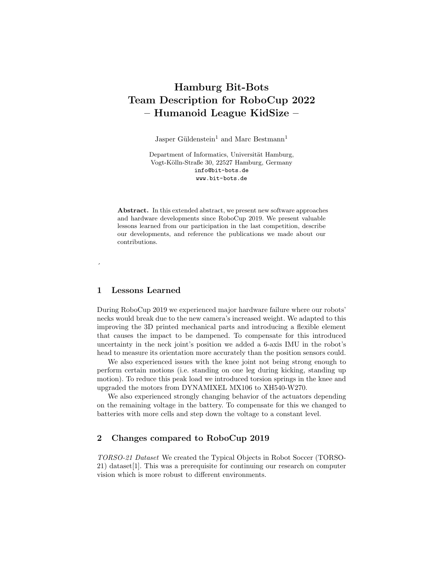# Hamburg Bit-Bots Team Description for RoboCup 2022 – Humanoid League KidSize –

Jasper Güldenstein<sup>1</sup> and Marc Bestmann<sup>1</sup>

Department of Informatics, Universität Hamburg, Vogt-Kölln-Straße 30, 22527 Hamburg, Germany info@bit-bots.de www.bit-bots.de

Abstract. In this extended abstract, we present new software approaches and hardware developments since RoboCup 2019. We present valuable lessons learned from our participation in the last competition, describe our developments, and reference the publications we made about our contributions.

### 1 Lessons Learned

 $\overline{\phantom{a}}$ 

During RoboCup 2019 we experienced major hardware failure where our robots' necks would break due to the new camera's increased weight. We adapted to this improving the 3D printed mechanical parts and introducing a flexible element that causes the impact to be dampened. To compensate for this introduced uncertainty in the neck joint's position we added a 6-axis IMU in the robot's head to measure its orientation more accurately than the position sensors could.

We also experienced issues with the knee joint not being strong enough to perform certain motions (i.e. standing on one leg during kicking, standing up motion). To reduce this peak load we introduced torsion springs in the knee and upgraded the motors from DYNAMIXEL MX106 to XH540-W270.

We also experienced strongly changing behavior of the actuators depending on the remaining voltage in the battery. To compensate for this we changed to batteries with more cells and step down the voltage to a constant level.

## 2 Changes compared to RoboCup 2019

TORSO-21 Dataset We created the Typical Objects in Robot Soccer (TORSO-21) dataset[1]. This was a prerequisite for continuing our research on computer vision which is more robust to different environments.